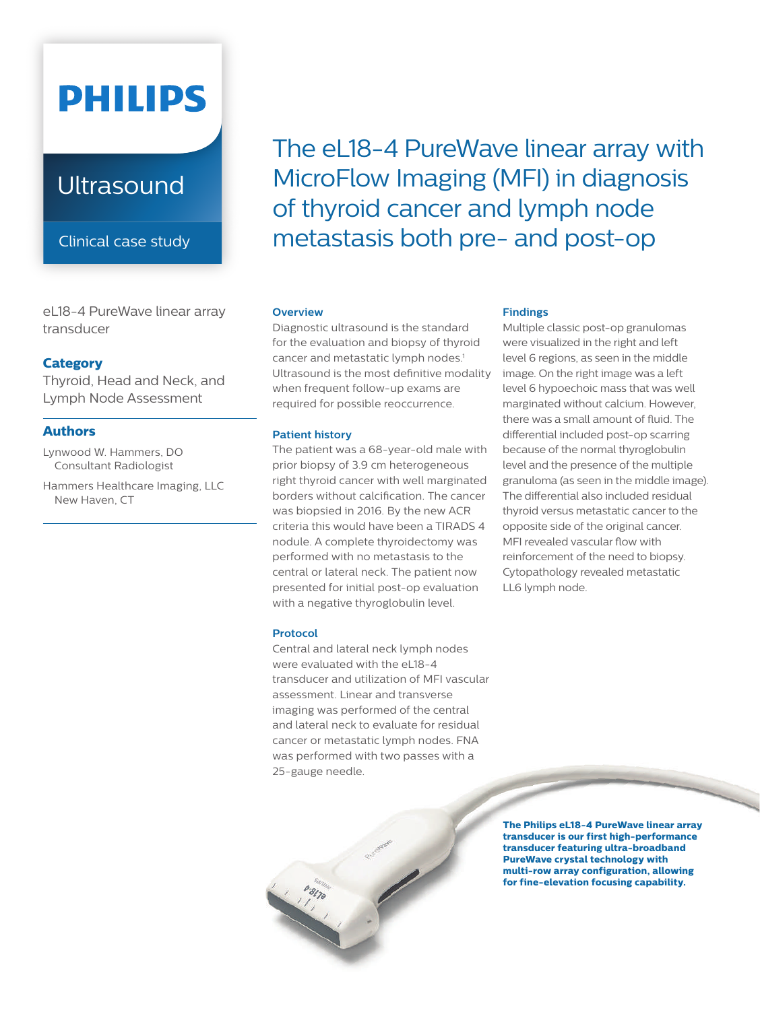# **PHILIPS**

## **Ultrasound**

Clinical case study

eL18-4 PureWave linear array transducer

#### **Category**

Thyroid, Head and Neck, and Lymph Node Assessment

#### **Authors**

Lynwood W. Hammers, DO Consultant Radiologist

Hammers Healthcare Imaging, LLC New Haven, CT

The eL18-4 PureWave linear array with MicroFlow Imaging (MFI) in diagnosis of thyroid cancer and lymph node metastasis both pre- and post-op

#### **Overview**

Diagnostic ultrasound is the standard for the evaluation and biopsy of thyroid cancer and metastatic lymph nodes.<sup>1</sup> Ultrasound is the most definitive modality when frequent follow-up exams are required for possible reoccurrence.

#### **Patient history**

The patient was a 68-year-old male with prior biopsy of 3.9 cm heterogeneous right thyroid cancer with well marginated borders without calcification. The cancer was biopsied in 2016. By the new ACR criteria this would have been a TIRADS 4 nodule. A complete thyroidectomy was performed with no metastasis to the central or lateral neck. The patient now presented for initial post-op evaluation with a negative thyroglobulin level.

#### **Protocol**

Central and lateral neck lymph nodes were evaluated with the eL18-4 transducer and utilization of MFI vascular assessment. Linear and transverse imaging was performed of the central and lateral neck to evaluate for residual cancer or metastatic lymph nodes. FNA was performed with two passes with a 25-gauge needle.

#### **Findings**

Multiple classic post-op granulomas were visualized in the right and left level 6 regions, as seen in the middle image. On the right image was a left level 6 hypoechoic mass that was well marginated without calcium. However, there was a small amount of fluid. The differential included post-op scarring because of the normal thyroglobulin level and the presence of the multiple granuloma (as seen in the middle image). The differential also included residual thyroid versus metastatic cancer to the opposite side of the original cancer. MFI revealed vascular flow with reinforcement of the need to biopsy. Cytopathology revealed metastatic LL6 lymph node.

**The Philips eL18-4 PureWave linear array transducer is our first high-performance transducer featuring ultra-broadband PureWave crystal technology with multi-row array configuration, allowing for fine-elevation focusing capability.**